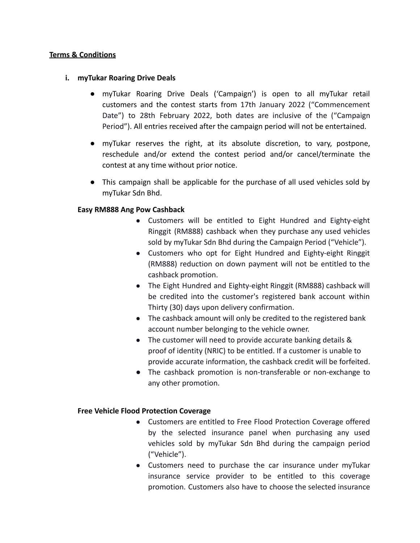## **Terms & Conditions**

### **i. myTukar Roaring Drive Deals**

- **●** myTukar Roaring Drive Deals ('Campaign') is open to all myTukar retail customers and the contest starts from 17th January 2022 ("Commencement Date") to 28th February 2022, both dates are inclusive of the ("Campaign Period"). All entries received after the campaign period will not be entertained.
- **●** myTukar reserves the right, at its absolute discretion, to vary, postpone, reschedule and/or extend the contest period and/or cancel/terminate the contest at any time without prior notice.
- **●** This campaign shall be applicable for the purchase of all used vehicles sold by myTukar Sdn Bhd.

## **Easy RM888 Ang Pow Cashback**

- Customers will be entitled to Eight Hundred and Eighty-eight Ringgit (RM888) cashback when they purchase any used vehicles sold by myTukar Sdn Bhd during the Campaign Period ("Vehicle").
- Customers who opt for Eight Hundred and Eighty-eight Ringgit (RM888) reduction on down payment will not be entitled to the cashback promotion.
- The Eight Hundred and Eighty-eight Ringgit (RM888) cashback will be credited into the customer's registered bank account within Thirty (30) days upon delivery confirmation.
- The cashback amount will only be credited to the registered bank account number belonging to the vehicle owner.
- The customer will need to provide accurate banking details & proof of identity (NRIC) to be entitled. If a customer is unable to provide accurate information, the cashback credit will be forfeited.
- The cashback promotion is non-transferable or non-exchange to any other promotion.

#### **Free Vehicle Flood Protection Coverage**

- Customers are entitled to Free Flood Protection Coverage offered by the selected insurance panel when purchasing any used vehicles sold by myTukar Sdn Bhd during the campaign period ("Vehicle").
- Customers need to purchase the car insurance under myTukar insurance service provider to be entitled to this coverage promotion. Customers also have to choose the selected insurance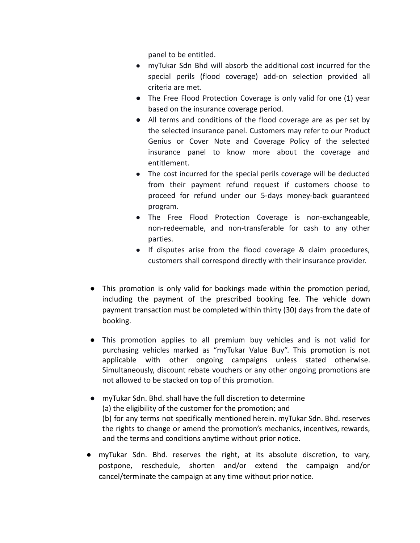panel to be entitled.

- myTukar Sdn Bhd will absorb the additional cost incurred for the special perils (flood coverage) add-on selection provided all criteria are met.
- The Free Flood Protection Coverage is only valid for one (1) year based on the insurance coverage period.
- All terms and conditions of the flood coverage are as per set by the selected insurance panel. Customers may refer to our Product Genius or Cover Note and Coverage Policy of the selected insurance panel to know more about the coverage and entitlement.
- The cost incurred for the special perils coverage will be deducted from their payment refund request if customers choose to proceed for refund under our 5-days money-back guaranteed program.
- The Free Flood Protection Coverage is non-exchangeable, non-redeemable, and non-transferable for cash to any other parties.
- If disputes arise from the flood coverage & claim procedures, customers shall correspond directly with their insurance provider.
- **●** This promotion is only valid for bookings made within the promotion period, including the payment of the prescribed booking fee. The vehicle down payment transaction must be completed within thirty (30) days from the date of booking.
- This promotion applies to all premium buy vehicles and is not valid for purchasing vehicles marked as "myTukar Value Buy". This promotion is not applicable with other ongoing campaigns unless stated otherwise. Simultaneously, discount rebate vouchers or any other ongoing promotions are not allowed to be stacked on top of this promotion.
- myTukar Sdn. Bhd. shall have the full discretion to determine (a) the eligibility of the customer for the promotion; and (b) for any terms not specifically mentioned herein. myTukar Sdn. Bhd. reserves the rights to change or amend the promotion's mechanics, incentives, rewards, and the terms and conditions anytime without prior notice.
- myTukar Sdn. Bhd. reserves the right, at its absolute discretion, to vary, postpone, reschedule, shorten and/or extend the campaign and/or cancel/terminate the campaign at any time without prior notice.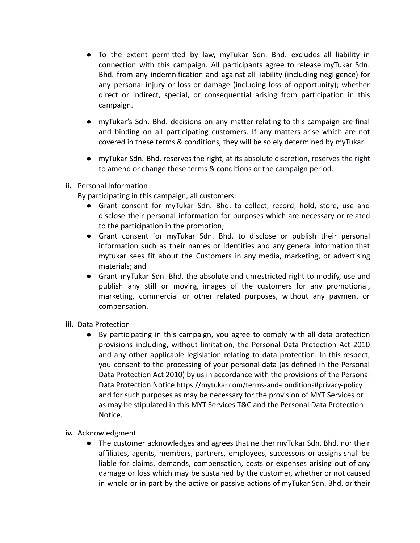- To the extent permitted by law, myTukar Sdn. Bhd. excludes all liability in connection with this campaign. All participants agree to release myTukar Sdn. Bhd. from any indemnification and against all liability (including negligence) for any personal injury or loss or damage (including loss of opportunity); whether direct or indirect, special, or consequential arising from participation in this campaign.
- myTukar's Sdn. Bhd. decisions on any matter relating to this campaign are final and binding on all participating customers. If any matters arise which are not covered in these terms & conditions, they will be solely determined by myTukar.
- myTukar Sdn. Bhd. reserves the right, at its absolute discretion, reserves the right to amend or change these terms & conditions or the campaign period.

# **ii.** Personal Information

By participating in this campaign, all customers:

- Grant consent for myTukar Sdn. Bhd. to collect, record, hold, store, use and disclose their personal information for purposes which are necessary or related to the participation in the promotion;
- Grant consent for myTukar Sdn. Bhd. to disclose or publish their personal information such as their names or identities and any general information that mytukar sees fit about the Customers in any media, marketing, or advertising materials; and
- Grant myTukar Sdn. Bhd. the absolute and unrestricted right to modify, use and publish any still or moving images of the customers for any promotional, marketing, commercial or other related purposes, without any payment or compensation.
- **iii.** Data Protection
	- By participating in this campaign, you agree to comply with all data protection provisions including, without limitation, the Personal Data Protection Act 2010 and any other applicable legislation relating to data protection. In this respect, you consent to the processing of your personal data (as defined in the Personal Data Protection Act 2010) by us in accordance with the provisions of the Personal Data Protection Notice https://mytukar.com/terms-and-conditions#privacy-policy and for such purposes as may be necessary for the provision of MYT Services or as may be stipulated in this MYT Services T&C and the Personal Data Protection Notice.
- **iv.** Acknowledgment
	- The customer acknowledges and agrees that neither myTukar Sdn. Bhd. nor their affiliates, agents, members, partners, employees, successors or assigns shall be liable for claims, demands, compensation, costs or expenses arising out of any damage or loss which may be sustained by the customer, whether or not caused in whole or in part by the active or passive actions of myTukar Sdn. Bhd. or their